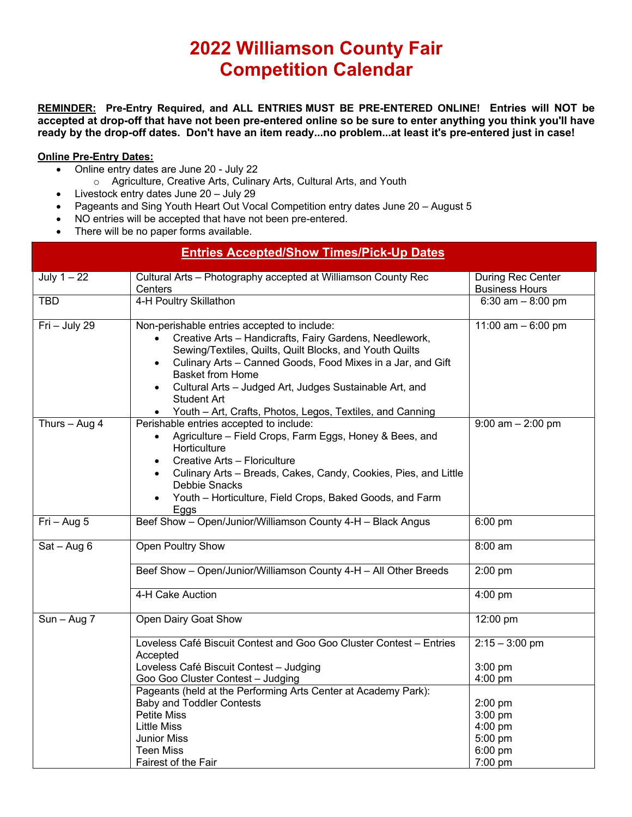## **2022 Williamson County Fair Competition Calendar**

**REMINDER: Pre-Entry Required, and ALL ENTRIES MUST BE PRE-ENTERED ONLINE! Entries will NOT be accepted at drop-off that have not been pre-entered online so be sure to enter anything you think you'll have ready by the drop-off dates. Don't have an item ready...no problem...at least it's pre-entered just in case!**

## **Online Pre-Entry Dates:**

- Online entry dates are June 20 July 22
	- o Agriculture, Creative Arts, Culinary Arts, Cultural Arts, and Youth
- Livestock entry dates June 20 July 29
- Pageants and Sing Youth Heart Out Vocal Competition entry dates June 20 August 5
- NO entries will be accepted that have not been pre-entered.
- There will be no paper forms available.

| <b>Entries Accepted/Show Times/Pick-Up Dates</b> |                                                                                                                                                                                                                                                                                                                                                                                                                                                  |                                                                  |  |
|--------------------------------------------------|--------------------------------------------------------------------------------------------------------------------------------------------------------------------------------------------------------------------------------------------------------------------------------------------------------------------------------------------------------------------------------------------------------------------------------------------------|------------------------------------------------------------------|--|
| July $1 - 22$                                    | Cultural Arts - Photography accepted at Williamson County Rec<br>Centers                                                                                                                                                                                                                                                                                                                                                                         | <b>During Rec Center</b><br><b>Business Hours</b>                |  |
| <b>TBD</b>                                       | 4-H Poultry Skillathon                                                                                                                                                                                                                                                                                                                                                                                                                           | 6:30 $am - 8:00 pm$                                              |  |
| Fri - July 29                                    | Non-perishable entries accepted to include:<br>Creative Arts - Handicrafts, Fairy Gardens, Needlework,<br>$\bullet$<br>Sewing/Textiles, Quilts, Quilt Blocks, and Youth Quilts<br>Culinary Arts - Canned Goods, Food Mixes in a Jar, and Gift<br>$\bullet$<br><b>Basket from Home</b><br>Cultural Arts - Judged Art, Judges Sustainable Art, and<br>$\bullet$<br><b>Student Art</b><br>Youth - Art, Crafts, Photos, Legos, Textiles, and Canning | 11:00 am $-6:00$ pm                                              |  |
| Thurs $-$ Aug 4                                  | Perishable entries accepted to include:<br>Agriculture - Field Crops, Farm Eggs, Honey & Bees, and<br>$\bullet$<br>Horticulture<br>Creative Arts - Floriculture<br>Culinary Arts - Breads, Cakes, Candy, Cookies, Pies, and Little<br>Debbie Snacks<br>Youth - Horticulture, Field Crops, Baked Goods, and Farm<br>$\bullet$<br>Eggs                                                                                                             | $9:00$ am $- 2:00$ pm                                            |  |
| $Fri - Aug 5$                                    | Beef Show - Open/Junior/Williamson County 4-H - Black Angus                                                                                                                                                                                                                                                                                                                                                                                      | 6:00 pm                                                          |  |
| $Sat - Aug 6$                                    | Open Poultry Show                                                                                                                                                                                                                                                                                                                                                                                                                                | 8:00 am                                                          |  |
|                                                  | Beef Show - Open/Junior/Williamson County 4-H - All Other Breeds                                                                                                                                                                                                                                                                                                                                                                                 | 2:00 pm                                                          |  |
|                                                  | 4-H Cake Auction                                                                                                                                                                                                                                                                                                                                                                                                                                 | $4:00$ pm                                                        |  |
| $Sun - Aug 7$                                    | Open Dairy Goat Show                                                                                                                                                                                                                                                                                                                                                                                                                             | 12:00 pm                                                         |  |
|                                                  | Loveless Café Biscuit Contest and Goo Goo Cluster Contest - Entries<br>Accepted<br>Loveless Café Biscuit Contest - Judging<br>Goo Goo Cluster Contest - Judging                                                                                                                                                                                                                                                                                  | $2:15 - 3:00$ pm<br>$3:00$ pm<br>4:00 pm                         |  |
|                                                  | Pageants (held at the Performing Arts Center at Academy Park):<br><b>Baby and Toddler Contests</b><br><b>Petite Miss</b><br><b>Little Miss</b><br><b>Junior Miss</b><br><b>Teen Miss</b><br>Fairest of the Fair                                                                                                                                                                                                                                  | $2:00$ pm<br>3:00 pm<br>4:00 pm<br>5:00 pm<br>6:00 pm<br>7:00 pm |  |